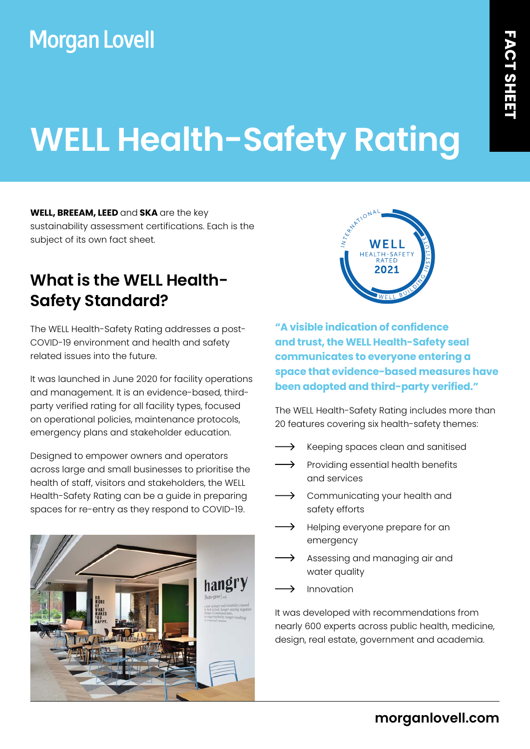## **Morgan Lovell**

# **WELL Health-Safety Rating**

**WELL, BREEAM, LEED** and **SKA** are the key sustainability assessment certifications. Each is the subject of its own fact sheet.

#### **What is the WELL Health-Safety Standard?**

The WELL Health-Safety Rating addresses a post-COVID-19 environment and health and safety related issues into the future.

It was launched in June 2020 for facility operations and management. It is an evidence-based, thirdparty verified rating for all facility types, focused on operational policies, maintenance protocols, emergency plans and stakeholder education.

Designed to empower owners and operators across large and small businesses to prioritise the health of staff, visitors and stakeholders, the WELL Health-Safety Rating can be a guide in preparing spaces for re-entry as they respond to COVID-19.





**"A visible indication of confidence and trust, the WELL Health-Safety seal communicates to everyone entering a space that evidence-based measures have been adopted and third-party verified."**

The WELL Health-Safety Rating includes more than 20 features covering six health-safety themes:

- $\longrightarrow$ Keeping spaces clean and sanitised
- $\longrightarrow$  Providing essential health benefits and services
- $\longrightarrow$  Communicating your health and safety efforts
- Helping everyone prepare for an emergency
- Assessing and managing air and water quality
- Innovation

It was developed with recommendations from nearly 600 experts across public health, medicine, design, real estate, government and academia.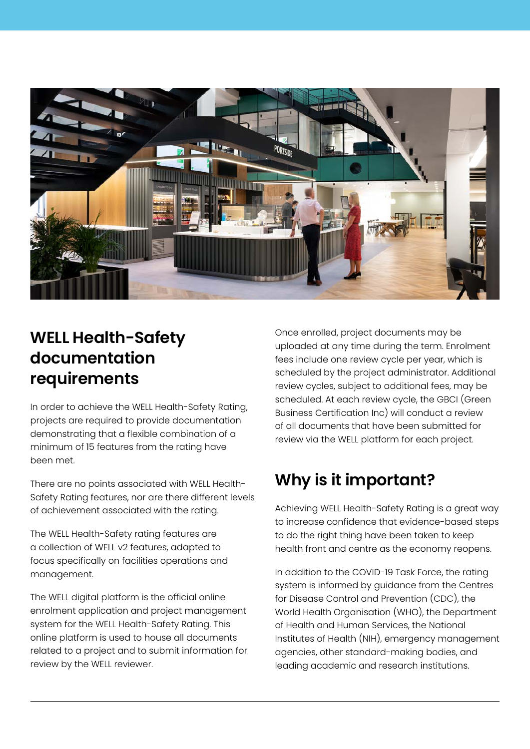

#### **WELL Health-Safety documentation requirements**

In order to achieve the WELL Health-Safety Rating, projects are required to provide documentation demonstrating that a flexible combination of a minimum of 15 features from the rating have been met.

There are no points associated with WELL Health-Safety Rating features, nor are there different levels of achievement associated with the rating.

The WELL Health-Safety rating features are a collection of WELL v2 features, adapted to focus specifically on facilities operations and management.

The WELL digital platform is the official online enrolment application and project management system for the WELL Health-Safety Rating. This online platform is used to house all documents related to a project and to submit information for review by the WELL reviewer.

Once enrolled, project documents may be uploaded at any time during the term. Enrolment fees include one review cycle per year, which is scheduled by the project administrator. Additional review cycles, subject to additional fees, may be scheduled. At each review cycle, the GBCI (Green Business Certification Inc) will conduct a review of all documents that have been submitted for review via the WELL platform for each project.

### **Why is it important?**

Achieving WELL Health-Safety Rating is a great way to increase confidence that evidence-based steps to do the right thing have been taken to keep health front and centre as the economy reopens.

In addition to the COVID-19 Task Force, the rating system is informed by guidance from the Centres for Disease Control and Prevention (CDC), the World Health Organisation (WHO), the Department of Health and Human Services, the National Institutes of Health (NIH), emergency management agencies, other standard-making bodies, and leading academic and research institutions.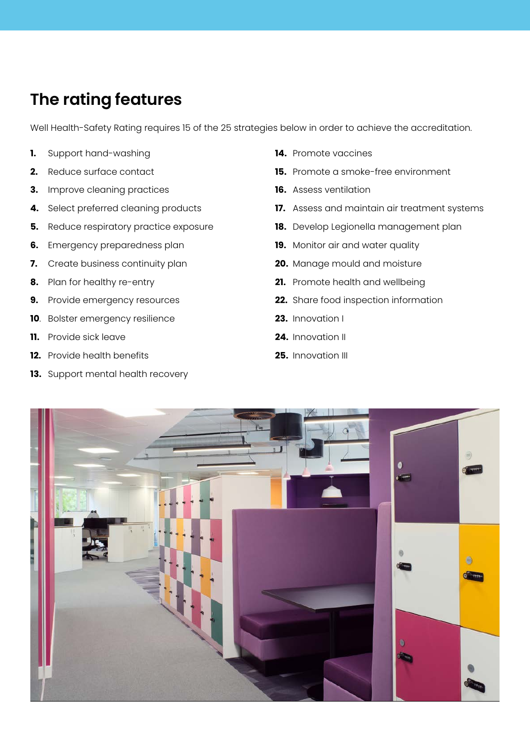#### **The rating features**

Well Health-Safety Rating requires 15 of the 25 strategies below in order to achieve the accreditation.

- **1.** Support hand-washing
- **2.** Reduce surface contact
- **3.** Improve cleaning practices
- **4.** Select preferred cleaning products
- **5.** Reduce respiratory practice exposure
- **6.** Emergency preparedness plan
- **7.** Create business continuity plan
- **8.** Plan for healthy re-entry
- **9.** Provide emergency resources
- **10**. Bolster emergency resilience
- **11.** Provide sick leave
- **12.** Provide health benefits
- **13.** Support mental health recovery
- **14.** Promote vaccines
- **15.** Promote a smoke-free environment
- **16.** Assess ventilation
- **17.** Assess and maintain air treatment systems
- **18.** Develop Legionella management plan
- **19.** Monitor air and water quality
- **20.** Manage mould and moisture
- **21.** Promote health and wellbeing
- **22.** Share food inspection information
- **23.** Innovation I
- **24.** Innovation II
- **25.** Innovation III